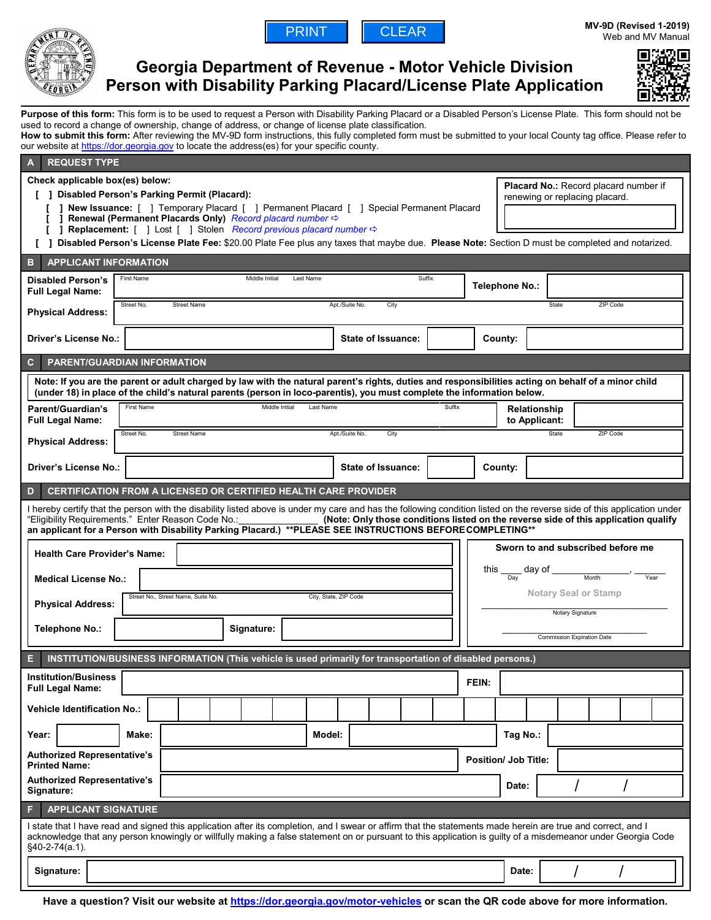



# **Georgia Department of Revenue - Motor Vehicle Division Person with Disability Parking Placard/License Plate Application**



Purpose of this form: This form is to be used to request a Person with Disability Parking Placard or a Disabled Person's License Plate. This form should not be used to record a change of ownership, change of address, or change of license plate classification.

**How to submit this form:** After reviewing the MV-9D form instructions, this fully completed form must be submitted to your local County tag office. Please refer to our website at [https://dor.georgia.gov](https://dor.georgia.gov/) to locate the address(es) for your specific county.

| <b>REQUEST TYPE</b><br>$\mathbf{A}$                                                                                                                                                                                                                                                                                                                                                                                                                                                                                                                                                                                                                                        |                                                                   |                                                                   |  |        |                |                           |  |        |                                   |          |                                      |          |  |  |  |
|----------------------------------------------------------------------------------------------------------------------------------------------------------------------------------------------------------------------------------------------------------------------------------------------------------------------------------------------------------------------------------------------------------------------------------------------------------------------------------------------------------------------------------------------------------------------------------------------------------------------------------------------------------------------------|-------------------------------------------------------------------|-------------------------------------------------------------------|--|--------|----------------|---------------------------|--|--------|-----------------------------------|----------|--------------------------------------|----------|--|--|--|
| Check applicable box(es) below:<br>Placard No.: Record placard number if<br>[ ] Disabled Person's Parking Permit (Placard):<br>renewing or replacing placard.<br>] New Issuance: [ ] Temporary Placard [ ] Permanent Placard [ ] Special Permanent Placard<br>Renewal (Permanent Placards Only) Record placard number $\Leftrightarrow$<br>L.<br><b>Replacement:</b> $\begin{bmatrix} 1 \end{bmatrix}$ Lost $\begin{bmatrix} 1 \end{bmatrix}$ Stolen <i>Record previous placard number</i> $\Leftrightarrow$<br>1<br>Disabled Person's License Plate Fee: \$20.00 Plate Fee plus any taxes that maybe due. Please Note: Section D must be completed and notarized.<br>r 1. |                                                                   |                                                                   |  |        |                |                           |  |        |                                   |          |                                      |          |  |  |  |
| <b>APPLICANT INFORMATION</b><br>в                                                                                                                                                                                                                                                                                                                                                                                                                                                                                                                                                                                                                                          |                                                                   |                                                                   |  |        |                |                           |  |        |                                   |          |                                      |          |  |  |  |
| <b>Disabled Person's</b><br><b>Full Legal Name:</b>                                                                                                                                                                                                                                                                                                                                                                                                                                                                                                                                                                                                                        | First Name                                                        | Middle Initial<br>Suffix<br>Last Name                             |  |        |                |                           |  |        | Telephone No.:                    |          |                                      |          |  |  |  |
| <b>Physical Address:</b>                                                                                                                                                                                                                                                                                                                                                                                                                                                                                                                                                                                                                                                   | Street No.                                                        | Apt./Suite No.<br><b>Street Name</b><br>City<br>State<br>ZIP Code |  |        |                |                           |  |        |                                   |          |                                      |          |  |  |  |
| Driver's License No.:                                                                                                                                                                                                                                                                                                                                                                                                                                                                                                                                                                                                                                                      |                                                                   |                                                                   |  |        |                | State of Issuance:        |  |        |                                   | County:  |                                      |          |  |  |  |
| <b>PARENT/GUARDIAN INFORMATION</b><br>C                                                                                                                                                                                                                                                                                                                                                                                                                                                                                                                                                                                                                                    |                                                                   |                                                                   |  |        |                |                           |  |        |                                   |          |                                      |          |  |  |  |
| Note: If you are the parent or adult charged by law with the natural parent's rights, duties and responsibilities acting on behalf of a minor child<br>(under 18) in place of the child's natural parents (person in loco-parentis), you must complete the information below.                                                                                                                                                                                                                                                                                                                                                                                              |                                                                   |                                                                   |  |        |                |                           |  |        |                                   |          |                                      |          |  |  |  |
| Parent/Guardian's<br><b>Full Legal Name:</b>                                                                                                                                                                                                                                                                                                                                                                                                                                                                                                                                                                                                                               | <b>First Name</b>                                                 | Middle Initial<br>Last Name                                       |  |        |                |                           |  | Suffix |                                   |          | <b>Relationship</b><br>to Applicant: |          |  |  |  |
| <b>Physical Address:</b>                                                                                                                                                                                                                                                                                                                                                                                                                                                                                                                                                                                                                                                   | Street No.                                                        | <b>Street Name</b>                                                |  |        | Apt./Suite No. | City                      |  |        |                                   |          | State                                | ZIP Code |  |  |  |
| <b>Driver's License No.:</b>                                                                                                                                                                                                                                                                                                                                                                                                                                                                                                                                                                                                                                               |                                                                   |                                                                   |  |        |                | <b>State of Issuance:</b> |  |        |                                   | County:  |                                      |          |  |  |  |
| <b>CERTIFICATION FROM A LICENSED OR CERTIFIED HEALTH CARE PROVIDER</b><br>D                                                                                                                                                                                                                                                                                                                                                                                                                                                                                                                                                                                                |                                                                   |                                                                   |  |        |                |                           |  |        |                                   |          |                                      |          |  |  |  |
| I hereby certify that the person with the disability listed above is under my care and has the following condition listed on the reverse side of this application under<br>"Eligibility Requirements." Enter Reason Code No.:<br>(Note: Only those conditions listed on the reverse side of this application qualify<br><u>and the second contract of the second contract of the second contract of the second contract of the second con</u><br>an applicant for a Person with Disability Parking Placard.) **PLEASE SEE INSTRUCTIONS BEFORE COMPLETING**                                                                                                                 |                                                                   |                                                                   |  |        |                |                           |  |        |                                   |          |                                      |          |  |  |  |
| Sworn to and subscribed before me<br><b>Health Care Provider's Name:</b>                                                                                                                                                                                                                                                                                                                                                                                                                                                                                                                                                                                                   |                                                                   |                                                                   |  |        |                |                           |  |        |                                   |          |                                      |          |  |  |  |
| this $\frac{1}{\log x}$ day of $\frac{1}{\log x}$<br>Year<br><b>Medical License No.:</b><br><b>Notary Seal or Stamp</b><br>Street No., Street Name, Suite No.                                                                                                                                                                                                                                                                                                                                                                                                                                                                                                              |                                                                   |                                                                   |  |        |                |                           |  |        |                                   |          |                                      |          |  |  |  |
| <b>Physical Address:</b>                                                                                                                                                                                                                                                                                                                                                                                                                                                                                                                                                                                                                                                   |                                                                   | City, State, ZIP Code<br>Notary Signature                         |  |        |                |                           |  |        |                                   |          |                                      |          |  |  |  |
| <b>Telephone No.:</b>                                                                                                                                                                                                                                                                                                                                                                                                                                                                                                                                                                                                                                                      |                                                                   | Signature:                                                        |  |        |                |                           |  |        | <b>Commission Expiration Date</b> |          |                                      |          |  |  |  |
| INSTITUTION/BUSINESS INFORMATION (This vehicle is used primarily for transportation of disabled persons.)                                                                                                                                                                                                                                                                                                                                                                                                                                                                                                                                                                  |                                                                   |                                                                   |  |        |                |                           |  |        |                                   |          |                                      |          |  |  |  |
| <b>Institution/Business</b><br><b>Full Legal Name:</b>                                                                                                                                                                                                                                                                                                                                                                                                                                                                                                                                                                                                                     |                                                                   |                                                                   |  |        |                |                           |  |        | FEIN:                             |          |                                      |          |  |  |  |
| <b>Vehicle Identification No.:</b>                                                                                                                                                                                                                                                                                                                                                                                                                                                                                                                                                                                                                                         |                                                                   |                                                                   |  |        |                |                           |  |        |                                   |          |                                      |          |  |  |  |
| Year:                                                                                                                                                                                                                                                                                                                                                                                                                                                                                                                                                                                                                                                                      | Make:                                                             |                                                                   |  | Model: |                |                           |  |        |                                   | Tag No.: |                                      |          |  |  |  |
| <b>Printed Name:</b>                                                                                                                                                                                                                                                                                                                                                                                                                                                                                                                                                                                                                                                       | <b>Authorized Representative's</b><br><b>Position/ Job Title:</b> |                                                                   |  |        |                |                           |  |        |                                   |          |                                      |          |  |  |  |
| <b>Authorized Representative's</b><br>Signature:                                                                                                                                                                                                                                                                                                                                                                                                                                                                                                                                                                                                                           |                                                                   |                                                                   |  |        |                |                           |  |        |                                   | Date:    |                                      |          |  |  |  |
| <b>APPLICANT SIGNATURE</b><br>F                                                                                                                                                                                                                                                                                                                                                                                                                                                                                                                                                                                                                                            |                                                                   |                                                                   |  |        |                |                           |  |        |                                   |          |                                      |          |  |  |  |
| I state that I have read and signed this application after its completion, and I swear or affirm that the statements made herein are true and correct, and I<br>acknowledge that any person knowingly or willfully making a false statement on or pursuant to this application is guilty of a misdemeanor under Georgia Code<br>§40-2-74(a.1).                                                                                                                                                                                                                                                                                                                             |                                                                   |                                                                   |  |        |                |                           |  |        |                                   |          |                                      |          |  |  |  |
| Signature:<br>Date:                                                                                                                                                                                                                                                                                                                                                                                                                                                                                                                                                                                                                                                        |                                                                   |                                                                   |  |        |                |                           |  |        |                                   |          |                                      |          |  |  |  |